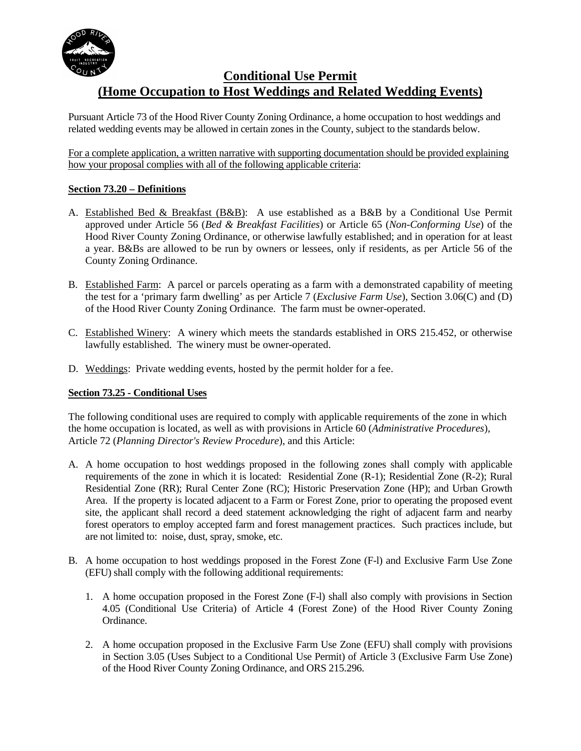

## **Conditional Use Permit (Home Occupation to Host Weddings and Related Wedding Events)**

Pursuant Article 73 of the Hood River County Zoning Ordinance, a home occupation to host weddings and related wedding events may be allowed in certain zones in the County, subject to the standards below.

For a complete application, a written narrative with supporting documentation should be provided explaining how your proposal complies with all of the following applicable criteria:

## **Section 73.20 – Definitions**

- A. Established Bed & Breakfast (B&B): A use established as a B&B by a Conditional Use Permit approved under Article 56 (*Bed & Breakfast Facilities*) or Article 65 (*Non-Conforming Use*) of the Hood River County Zoning Ordinance, or otherwise lawfully established; and in operation for at least a year. B&Bs are allowed to be run by owners or lessees, only if residents, as per Article 56 of the County Zoning Ordinance.
- B. Established Farm: A parcel or parcels operating as a farm with a demonstrated capability of meeting the test for a 'primary farm dwelling' as per Article 7 (*Exclusive Farm Use*), Section 3.06(C) and (D) of the Hood River County Zoning Ordinance. The farm must be owner-operated.
- C. Established Winery: A winery which meets the standards established in ORS 215.452, or otherwise lawfully established. The winery must be owner-operated.
- D. Weddings: Private wedding events, hosted by the permit holder for a fee.

### **Section 73.25 - Conditional Uses**

The following conditional uses are required to comply with applicable requirements of the zone in which the home occupation is located, as well as with provisions in Article 60 (*Administrative Procedures*), Article 72 (*Planning Director's Review Procedure*), and this Article:

- A. A home occupation to host weddings proposed in the following zones shall comply with applicable requirements of the zone in which it is located: Residential Zone (R-1); Residential Zone (R-2); Rural Residential Zone (RR); Rural Center Zone (RC); Historic Preservation Zone (HP); and Urban Growth Area. If the property is located adjacent to a Farm or Forest Zone, prior to operating the proposed event site, the applicant shall record a deed statement acknowledging the right of adjacent farm and nearby forest operators to employ accepted farm and forest management practices. Such practices include, but are not limited to: noise, dust, spray, smoke, etc.
- B. A home occupation to host weddings proposed in the Forest Zone (F-l) and Exclusive Farm Use Zone (EFU) shall comply with the following additional requirements:
	- 1. A home occupation proposed in the Forest Zone (F-l) shall also comply with provisions in Section 4.05 (Conditional Use Criteria) of Article 4 (Forest Zone) of the Hood River County Zoning Ordinance.
	- 2. A home occupation proposed in the Exclusive Farm Use Zone (EFU) shall comply with provisions in Section 3.05 (Uses Subject to a Conditional Use Permit) of Article 3 (Exclusive Farm Use Zone) of the Hood River County Zoning Ordinance, and ORS 215.296.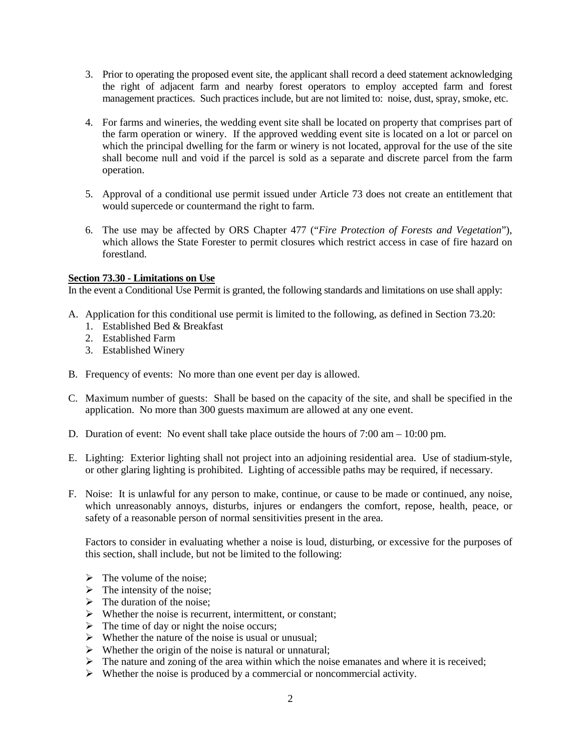- 3. Prior to operating the proposed event site, the applicant shall record a deed statement acknowledging the right of adjacent farm and nearby forest operators to employ accepted farm and forest management practices. Such practices include, but are not limited to: noise, dust, spray, smoke, etc.
- 4. For farms and wineries, the wedding event site shall be located on property that comprises part of the farm operation or winery. If the approved wedding event site is located on a lot or parcel on which the principal dwelling for the farm or winery is not located, approval for the use of the site shall become null and void if the parcel is sold as a separate and discrete parcel from the farm operation.
- 5. Approval of a conditional use permit issued under Article 73 does not create an entitlement that would supercede or countermand the right to farm.
- 6. The use may be affected by ORS Chapter 477 ("*Fire Protection of Forests and Vegetation*"), which allows the State Forester to permit closures which restrict access in case of fire hazard on forestland.

#### **Section 73.30 - Limitations on Use**

In the event a Conditional Use Permit is granted, the following standards and limitations on use shall apply:

- A. Application for this conditional use permit is limited to the following, as defined in Section 73.20:
	- 1. Established Bed & Breakfast
	- 2. Established Farm
	- 3. Established Winery
- B. Frequency of events: No more than one event per day is allowed.
- C. Maximum number of guests: Shall be based on the capacity of the site, and shall be specified in the application. No more than 300 guests maximum are allowed at any one event.
- D. Duration of event: No event shall take place outside the hours of 7:00 am 10:00 pm.
- E. Lighting: Exterior lighting shall not project into an adjoining residential area. Use of stadium-style, or other glaring lighting is prohibited. Lighting of accessible paths may be required, if necessary.
- F. Noise: It is unlawful for any person to make, continue, or cause to be made or continued, any noise, which unreasonably annoys, disturbs, injures or endangers the comfort, repose, health, peace, or safety of a reasonable person of normal sensitivities present in the area.

Factors to consider in evaluating whether a noise is loud, disturbing, or excessive for the purposes of this section, shall include, but not be limited to the following:

- $\triangleright$  The volume of the noise;
- $\triangleright$  The intensity of the noise;
- $\triangleright$  The duration of the noise;
- $\triangleright$  Whether the noise is recurrent, intermittent, or constant;
- $\triangleright$  The time of day or night the noise occurs;
- $\triangleright$  Whether the nature of the noise is usual or unusual:
- $\triangleright$  Whether the origin of the noise is natural or unnatural;
- $\triangleright$  The nature and zoning of the area within which the noise emanates and where it is received;
- $\triangleright$  Whether the noise is produced by a commercial or noncommercial activity.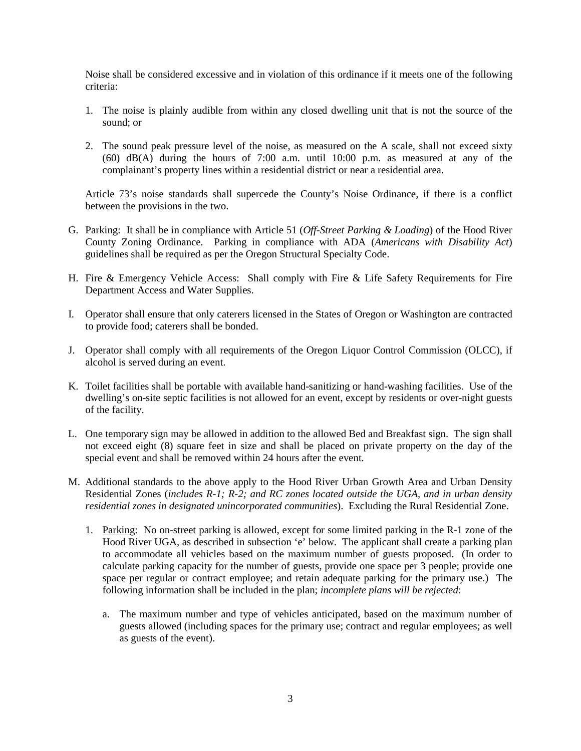Noise shall be considered excessive and in violation of this ordinance if it meets one of the following criteria:

- 1. The noise is plainly audible from within any closed dwelling unit that is not the source of the sound; or
- 2. The sound peak pressure level of the noise, as measured on the A scale, shall not exceed sixty  $(60)$  dB(A) during the hours of 7:00 a.m. until 10:00 p.m. as measured at any of the complainant's property lines within a residential district or near a residential area.

Article 73's noise standards shall supercede the County's Noise Ordinance, if there is a conflict between the provisions in the two.

- G. Parking: It shall be in compliance with Article 51 (*Off-Street Parking & Loading*) of the Hood River County Zoning Ordinance. Parking in compliance with ADA (*Americans with Disability Act*) guidelines shall be required as per the Oregon Structural Specialty Code.
- H. Fire & Emergency Vehicle Access: Shall comply with Fire & Life Safety Requirements for Fire Department Access and Water Supplies.
- I. Operator shall ensure that only caterers licensed in the States of Oregon or Washington are contracted to provide food; caterers shall be bonded.
- J. Operator shall comply with all requirements of the Oregon Liquor Control Commission (OLCC), if alcohol is served during an event.
- K. Toilet facilities shall be portable with available hand-sanitizing or hand-washing facilities. Use of the dwelling's on-site septic facilities is not allowed for an event, except by residents or over-night guests of the facility.
- L. One temporary sign may be allowed in addition to the allowed Bed and Breakfast sign. The sign shall not exceed eight (8) square feet in size and shall be placed on private property on the day of the special event and shall be removed within 24 hours after the event.
- M. Additional standards to the above apply to the Hood River Urban Growth Area and Urban Density Residential Zones (*includes R-1; R-2; and RC zones located outside the UGA, and in urban density residential zones in designated unincorporated communities*). Excluding the Rural Residential Zone.
	- 1. Parking: No on-street parking is allowed, except for some limited parking in the R-1 zone of the Hood River UGA, as described in subsection 'e' below. The applicant shall create a parking plan to accommodate all vehicles based on the maximum number of guests proposed. (In order to calculate parking capacity for the number of guests, provide one space per 3 people; provide one space per regular or contract employee; and retain adequate parking for the primary use.) The following information shall be included in the plan; *incomplete plans will be rejected*:
		- a. The maximum number and type of vehicles anticipated, based on the maximum number of guests allowed (including spaces for the primary use; contract and regular employees; as well as guests of the event).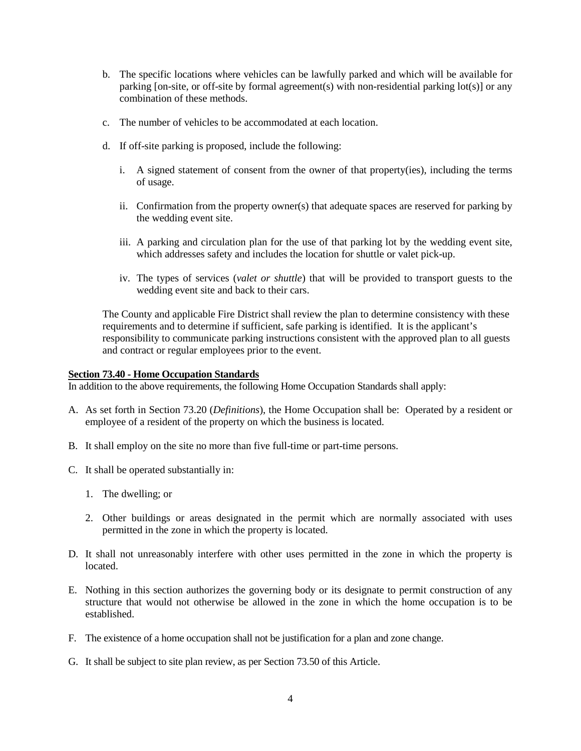- b. The specific locations where vehicles can be lawfully parked and which will be available for parking [on-site, or off-site by formal agreement(s) with non-residential parking lot(s)] or any combination of these methods.
- c. The number of vehicles to be accommodated at each location.
- d. If off-site parking is proposed, include the following:
	- i. A signed statement of consent from the owner of that property(ies), including the terms of usage.
	- ii. Confirmation from the property owner(s) that adequate spaces are reserved for parking by the wedding event site.
	- iii. A parking and circulation plan for the use of that parking lot by the wedding event site, which addresses safety and includes the location for shuttle or valet pick-up.
	- iv. The types of services (*valet or shuttle*) that will be provided to transport guests to the wedding event site and back to their cars.

The County and applicable Fire District shall review the plan to determine consistency with these requirements and to determine if sufficient, safe parking is identified. It is the applicant's responsibility to communicate parking instructions consistent with the approved plan to all guests and contract or regular employees prior to the event.

#### **Section 73.40 - Home Occupation Standards**

In addition to the above requirements, the following Home Occupation Standards shall apply:

- A. As set forth in Section 73.20 (*Definitions*), the Home Occupation shall be: Operated by a resident or employee of a resident of the property on which the business is located.
- B. It shall employ on the site no more than five full-time or part-time persons.
- C. It shall be operated substantially in:
	- 1. The dwelling; or
	- 2. Other buildings or areas designated in the permit which are normally associated with uses permitted in the zone in which the property is located.
- D. It shall not unreasonably interfere with other uses permitted in the zone in which the property is located.
- E. Nothing in this section authorizes the governing body or its designate to permit construction of any structure that would not otherwise be allowed in the zone in which the home occupation is to be established.
- F. The existence of a home occupation shall not be justification for a plan and zone change.
- G. It shall be subject to site plan review, as per Section 73.50 of this Article.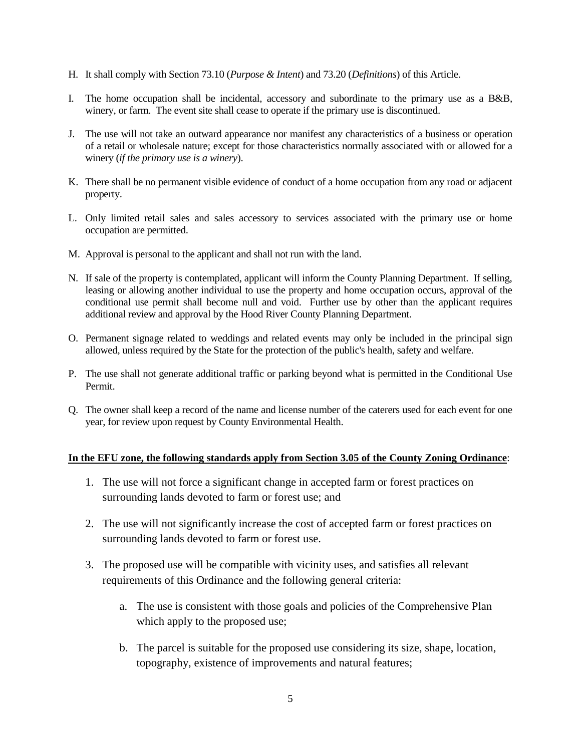- H. It shall comply with Section 73.10 (*Purpose & Intent*) and 73.20 (*Definitions*) of this Article.
- I. The home occupation shall be incidental, accessory and subordinate to the primary use as a B&B, winery, or farm. The event site shall cease to operate if the primary use is discontinued.
- J. The use will not take an outward appearance nor manifest any characteristics of a business or operation of a retail or wholesale nature; except for those characteristics normally associated with or allowed for a winery (*if the primary use is a winery*).
- K. There shall be no permanent visible evidence of conduct of a home occupation from any road or adjacent property.
- L. Only limited retail sales and sales accessory to services associated with the primary use or home occupation are permitted.
- M. Approval is personal to the applicant and shall not run with the land.
- N. If sale of the property is contemplated, applicant will inform the County Planning Department. If selling, leasing or allowing another individual to use the property and home occupation occurs, approval of the conditional use permit shall become null and void. Further use by other than the applicant requires additional review and approval by the Hood River County Planning Department.
- O. Permanent signage related to weddings and related events may only be included in the principal sign allowed, unless required by the State for the protection of the public's health, safety and welfare.
- P. The use shall not generate additional traffic or parking beyond what is permitted in the Conditional Use Permit.
- Q. The owner shall keep a record of the name and license number of the caterers used for each event for one year, for review upon request by County Environmental Health.

#### **In the EFU zone, the following standards apply from Section 3.05 of the County Zoning Ordinance**:

- 1. The use will not force a significant change in accepted farm or forest practices on surrounding lands devoted to farm or forest use; and
- 2. The use will not significantly increase the cost of accepted farm or forest practices on surrounding lands devoted to farm or forest use.
- 3. The proposed use will be compatible with vicinity uses, and satisfies all relevant requirements of this Ordinance and the following general criteria:
	- a. The use is consistent with those goals and policies of the Comprehensive Plan which apply to the proposed use;
	- b. The parcel is suitable for the proposed use considering its size, shape, location, topography, existence of improvements and natural features;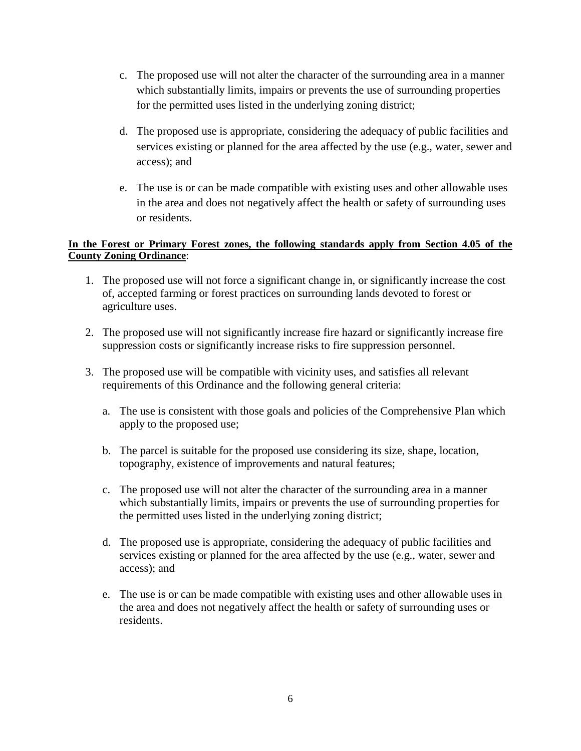- c. The proposed use will not alter the character of the surrounding area in a manner which substantially limits, impairs or prevents the use of surrounding properties for the permitted uses listed in the underlying zoning district;
- d. The proposed use is appropriate, considering the adequacy of public facilities and services existing or planned for the area affected by the use (e.g., water, sewer and access); and
- e. The use is or can be made compatible with existing uses and other allowable uses in the area and does not negatively affect the health or safety of surrounding uses or residents.

## **In the Forest or Primary Forest zones, the following standards apply from Section 4.05 of the County Zoning Ordinance**:

- 1. The proposed use will not force a significant change in, or significantly increase the cost of, accepted farming or forest practices on surrounding lands devoted to forest or agriculture uses.
- 2. The proposed use will not significantly increase fire hazard or significantly increase fire suppression costs or significantly increase risks to fire suppression personnel.
- 3. The proposed use will be compatible with vicinity uses, and satisfies all relevant requirements of this Ordinance and the following general criteria:
	- a. The use is consistent with those goals and policies of the Comprehensive Plan which apply to the proposed use;
	- b. The parcel is suitable for the proposed use considering its size, shape, location, topography, existence of improvements and natural features;
	- c. The proposed use will not alter the character of the surrounding area in a manner which substantially limits, impairs or prevents the use of surrounding properties for the permitted uses listed in the underlying zoning district;
	- d. The proposed use is appropriate, considering the adequacy of public facilities and services existing or planned for the area affected by the use (e.g., water, sewer and access); and
	- e. The use is or can be made compatible with existing uses and other allowable uses in the area and does not negatively affect the health or safety of surrounding uses or residents.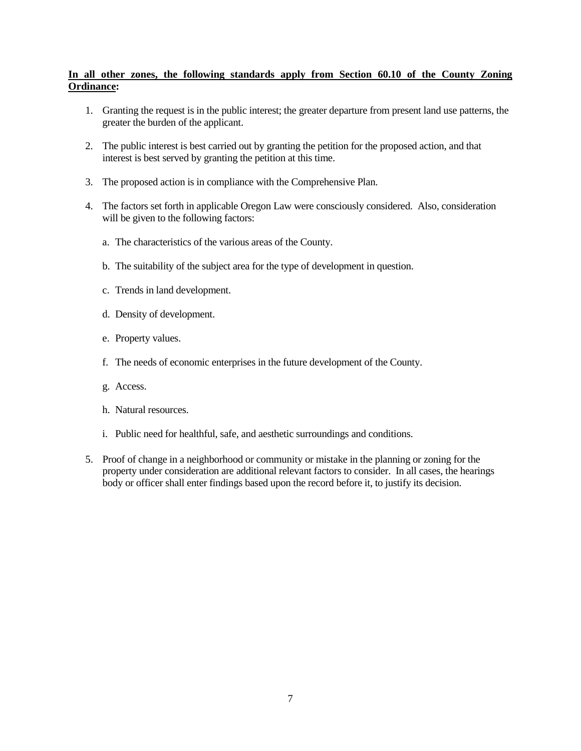### **In all other zones, the following standards apply from Section 60.10 of the County Zoning Ordinance:**

- 1. Granting the request is in the public interest; the greater departure from present land use patterns, the greater the burden of the applicant.
- 2. The public interest is best carried out by granting the petition for the proposed action, and that interest is best served by granting the petition at this time.
- 3. The proposed action is in compliance with the Comprehensive Plan.
- 4. The factors set forth in applicable Oregon Law were consciously considered. Also, consideration will be given to the following factors:
	- a. The characteristics of the various areas of the County.
	- b. The suitability of the subject area for the type of development in question.
	- c. Trends in land development.
	- d. Density of development.
	- e. Property values.
	- f. The needs of economic enterprises in the future development of the County.
	- g. Access.
	- h. Natural resources.
	- i. Public need for healthful, safe, and aesthetic surroundings and conditions.
- 5. Proof of change in a neighborhood or community or mistake in the planning or zoning for the property under consideration are additional relevant factors to consider. In all cases, the hearings body or officer shall enter findings based upon the record before it, to justify its decision.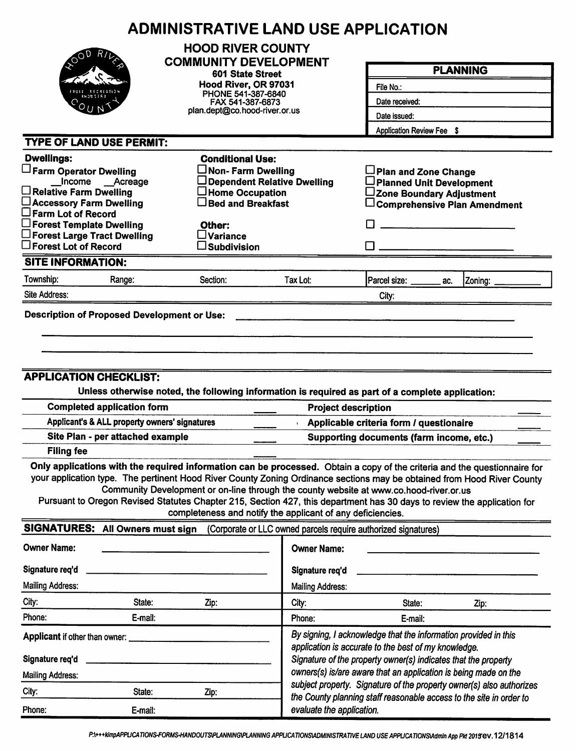|                                                                                                                                                                                                                                                    | <b>ADMINISTRATIVE LAND USE APPLICATION</b>                                                                                                                                                                                                                                                                                                                                                                             |                                                                                                                                                                                           |                                                                      |                                                                                     |  |  |  |
|----------------------------------------------------------------------------------------------------------------------------------------------------------------------------------------------------------------------------------------------------|------------------------------------------------------------------------------------------------------------------------------------------------------------------------------------------------------------------------------------------------------------------------------------------------------------------------------------------------------------------------------------------------------------------------|-------------------------------------------------------------------------------------------------------------------------------------------------------------------------------------------|----------------------------------------------------------------------|-------------------------------------------------------------------------------------|--|--|--|
|                                                                                                                                                                                                                                                    | <b>HOOD RIVER COUNTY</b><br><b>COMMUNITY DEVELOPMENT</b>                                                                                                                                                                                                                                                                                                                                                               |                                                                                                                                                                                           |                                                                      | <b>PLANNING</b>                                                                     |  |  |  |
|                                                                                                                                                                                                                                                    | 601 State Street                                                                                                                                                                                                                                                                                                                                                                                                       |                                                                                                                                                                                           |                                                                      |                                                                                     |  |  |  |
|                                                                                                                                                                                                                                                    | Hood River, OR 97031<br>PHONE 541-387-6840                                                                                                                                                                                                                                                                                                                                                                             |                                                                                                                                                                                           | File No.:                                                            |                                                                                     |  |  |  |
|                                                                                                                                                                                                                                                    | FAX 541-387-6873                                                                                                                                                                                                                                                                                                                                                                                                       |                                                                                                                                                                                           | Date received:                                                       |                                                                                     |  |  |  |
|                                                                                                                                                                                                                                                    |                                                                                                                                                                                                                                                                                                                                                                                                                        | plan.dept@co.hood-river.or.us                                                                                                                                                             |                                                                      | Date issued:<br>Application Review Fee \$                                           |  |  |  |
|                                                                                                                                                                                                                                                    |                                                                                                                                                                                                                                                                                                                                                                                                                        |                                                                                                                                                                                           |                                                                      |                                                                                     |  |  |  |
| <b>TYPE OF LAND USE PERMIT:</b>                                                                                                                                                                                                                    |                                                                                                                                                                                                                                                                                                                                                                                                                        |                                                                                                                                                                                           |                                                                      |                                                                                     |  |  |  |
| <b>Dwellings:</b>                                                                                                                                                                                                                                  | <b>Conditional Use:</b>                                                                                                                                                                                                                                                                                                                                                                                                |                                                                                                                                                                                           |                                                                      |                                                                                     |  |  |  |
| Farm Operator Dwelling<br>Income __Acreage                                                                                                                                                                                                         | $\Box$ Non- Farm Dwelling                                                                                                                                                                                                                                                                                                                                                                                              | Dependent Relative Dwelling                                                                                                                                                               | Plan and Zone Change<br>□ Planned Unit Development                   |                                                                                     |  |  |  |
| $\Box$ Relative Farm Dwelling                                                                                                                                                                                                                      | $\Box$ Home Occupation                                                                                                                                                                                                                                                                                                                                                                                                 |                                                                                                                                                                                           | ∟Zone Boundary Adjustment                                            |                                                                                     |  |  |  |
| □ Accessory Farm Dwelling                                                                                                                                                                                                                          | $\Box$ Bed and Breakfast                                                                                                                                                                                                                                                                                                                                                                                               |                                                                                                                                                                                           |                                                                      | $\Box$ Comprehensive Plan Amendment                                                 |  |  |  |
| $\square$ Farm Lot of Record<br>$\Box$ Forest Template Dwelling                                                                                                                                                                                    | Other:                                                                                                                                                                                                                                                                                                                                                                                                                 |                                                                                                                                                                                           |                                                                      |                                                                                     |  |  |  |
| $\square$ Forest Large Tract Dwelling                                                                                                                                                                                                              | $\square$ Variance                                                                                                                                                                                                                                                                                                                                                                                                     |                                                                                                                                                                                           |                                                                      |                                                                                     |  |  |  |
| $\square$ Forest Lot of Record                                                                                                                                                                                                                     | $\square$ Subdivision                                                                                                                                                                                                                                                                                                                                                                                                  |                                                                                                                                                                                           |                                                                      |                                                                                     |  |  |  |
| <b>SITE INFORMATION:</b>                                                                                                                                                                                                                           |                                                                                                                                                                                                                                                                                                                                                                                                                        |                                                                                                                                                                                           |                                                                      |                                                                                     |  |  |  |
| Township:<br>Range:                                                                                                                                                                                                                                | Section:                                                                                                                                                                                                                                                                                                                                                                                                               | Tax Lot:                                                                                                                                                                                  | Parcel size: ______<br>ac.                                           | Zoning:                                                                             |  |  |  |
| Site Address:                                                                                                                                                                                                                                      |                                                                                                                                                                                                                                                                                                                                                                                                                        |                                                                                                                                                                                           | City:                                                                |                                                                                     |  |  |  |
| <b>Filing fee</b>                                                                                                                                                                                                                                  | <b>APPLICATION CHECKLIST:</b><br>Unless otherwise noted, the following information is required as part of a complete application:<br><b>Completed application form</b><br><b>Project description</b><br>Applicant's & ALL property owners' signatures<br>Site Plan - per attached example<br>Only applications with the required information can be processed. Obtain a copy of the criteria and the questionnaire for |                                                                                                                                                                                           |                                                                      | Applicable criteria form / questionaire<br>Supporting documents (farm income, etc.) |  |  |  |
| your application type. The pertinent Hood River County Zoning Ordinance sections may be obtained from Hood River County<br>Pursuant to Oregon Revised Statutes Chapter 215, Section 427, this department has 30 days to review the application for | Community Development or on-line through the county website at www.co.hood-river.or.us<br>completeness and notify the applicant of any deficiencies.                                                                                                                                                                                                                                                                   |                                                                                                                                                                                           |                                                                      |                                                                                     |  |  |  |
| SIGNATURES: All Owners must sign                                                                                                                                                                                                                   |                                                                                                                                                                                                                                                                                                                                                                                                                        |                                                                                                                                                                                           | (Corporate or LLC owned parcels require authorized signatures)       |                                                                                     |  |  |  |
| <b>Owner Name:</b>                                                                                                                                                                                                                                 |                                                                                                                                                                                                                                                                                                                                                                                                                        | <b>Owner Name:</b>                                                                                                                                                                        |                                                                      |                                                                                     |  |  |  |
| Signature req'd                                                                                                                                                                                                                                    |                                                                                                                                                                                                                                                                                                                                                                                                                        | Signature req'd                                                                                                                                                                           |                                                                      |                                                                                     |  |  |  |
| <b>Mailing Address:</b>                                                                                                                                                                                                                            |                                                                                                                                                                                                                                                                                                                                                                                                                        | <b>Mailing Address:</b>                                                                                                                                                                   |                                                                      |                                                                                     |  |  |  |
| City:<br>State:                                                                                                                                                                                                                                    | Zip:                                                                                                                                                                                                                                                                                                                                                                                                                   | City:                                                                                                                                                                                     | State:                                                               | Zip:                                                                                |  |  |  |
| Phone:<br>E-mail:                                                                                                                                                                                                                                  |                                                                                                                                                                                                                                                                                                                                                                                                                        | Phone:                                                                                                                                                                                    | E-mail:                                                              |                                                                                     |  |  |  |
| Applicant if other than owner:<br>Signature req'd                                                                                                                                                                                                  |                                                                                                                                                                                                                                                                                                                                                                                                                        | By signing, I acknowledge that the information provided in this<br>application is accurate to the best of my knowledge.<br>Signature of the property owner(s) indicates that the property |                                                                      |                                                                                     |  |  |  |
| <b>Mailing Address:</b>                                                                                                                                                                                                                            |                                                                                                                                                                                                                                                                                                                                                                                                                        |                                                                                                                                                                                           | owners(s) is/are aware that an application is being made on the      |                                                                                     |  |  |  |
| City:<br>State:                                                                                                                                                                                                                                    | Zip:                                                                                                                                                                                                                                                                                                                                                                                                                   |                                                                                                                                                                                           | subject property. Signature of the property owner(s) also authorizes |                                                                                     |  |  |  |
| Phone:<br>E-mail:                                                                                                                                                                                                                                  |                                                                                                                                                                                                                                                                                                                                                                                                                        | evaluate the application.                                                                                                                                                                 | the County planning staff reasonable access to the site in order to  |                                                                                     |  |  |  |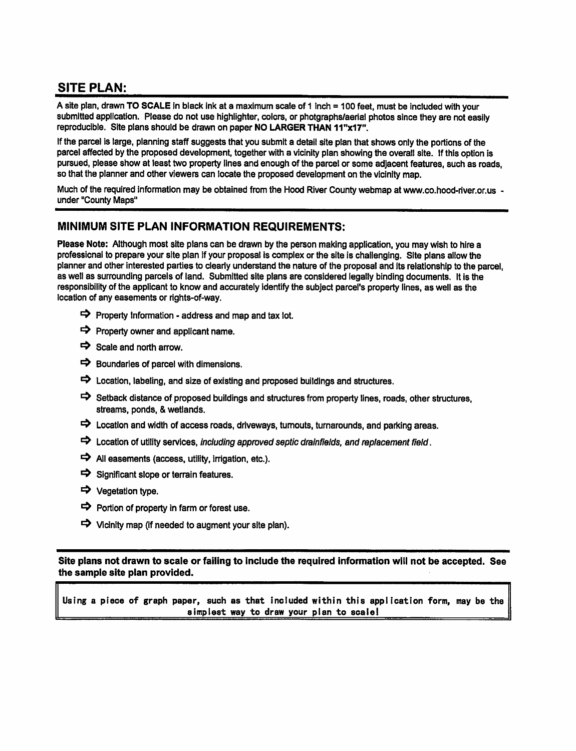# **SITE PLAN:**

A site plan, drawn TO SCALE in black ink at a maximum scale of 1 inch = 100 feet, must be included with your submitted application. Please do not use highlighter, colors, or photgraphs/aerial photos since they are not easily reproducible. Site plans should be drawn on paper NO LARGER THAN 11"x17".

If the parcel is large, planning staff suggests that you submit a detail site plan that shows only the portions of the parcel affected by the proposed development, together with a vicinity plan showing the overall site. If this option is pursued, please show at least two property lines and enough of the parcel or some adjacent features, such as roads, so that the planner and other viewers can locate the proposed development on the vicinity map.

Much of the required information may be obtained from the Hood River County webmap at www.co.hood-river.or.us under "County Maps"

## MINIMUM SITE PLAN INFORMATION REQUIREMENTS:

Please Note: Although most site plans can be drawn by the person making application, you may wish to hire a professional to prepare your site plan if your proposal is complex or the site is challenging. Site plans allow the planner and other interested parties to clearly understand the nature of the proposal and its relationship to the parcel. as well as surrounding parcels of land. Submitted site plans are considered legally binding documents. It is the responsibility of the applicant to know and accurately identify the subject parcel's property lines, as well as the location of any easements or rights-of-way.

- $\Rightarrow$  Property Information address and map and tax lot.
- $\Rightarrow$  Property owner and applicant name.
- $\Rightarrow$  Scale and north arrow.
- $\Rightarrow$  Boundaries of parcel with dimensions.
- $\Rightarrow$  Location, labeling, and size of existing and proposed buildings and structures.
- Setback distance of proposed buildings and structures from property lines, roads, other structures, streams, ponds, & wetlands.
- $\Rightarrow$  Location and width of access roads, driveways, turnouts, turnarounds, and parking areas.
- $\Rightarrow$  Location of utility services, including approved septic drainfields, and replacement field.
- $\Rightarrow$  All easements (access, utility, irrigation, etc.).
- $\Rightarrow$  Significant slope or terrain features.
- → Vegetation type.
- $\Rightarrow$  Portion of property in farm or forest use.
- $\Rightarrow$  Vicinity map (if needed to augment your site plan).

Site plans not drawn to scale or failing to include the required information will not be accepted. See the sample site plan provided.

Using a piece of graph paper, such as that included within this application form, may be the simplest way to draw your plan to scale!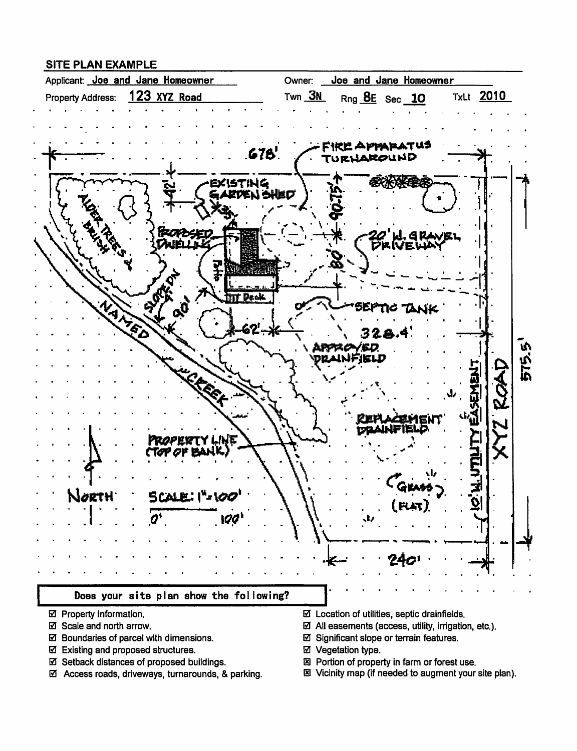## **SITE PLAN EXAMPLE**



- ☑ Property Information.
- ☑ Scale and north arrow.
- ☑ Boundaries of parcel with dimensions.
- ☑ Existing and proposed structures.
- ☑ Setback distances of proposed buildings.
- ☑ Access roads, driveways, turnarounds, & parking.
- $\boxtimes$  Location of utilities, septic drainfields.
- $\boxtimes$  All easements (access, utility, irrigation, etc.).
- ☑ Significant slope or terrain features.
- ☑ Vegetation type.
- 図 Portion of property in farm or forest use.
- 图 Vicinity map (if needed to augment your site plan).